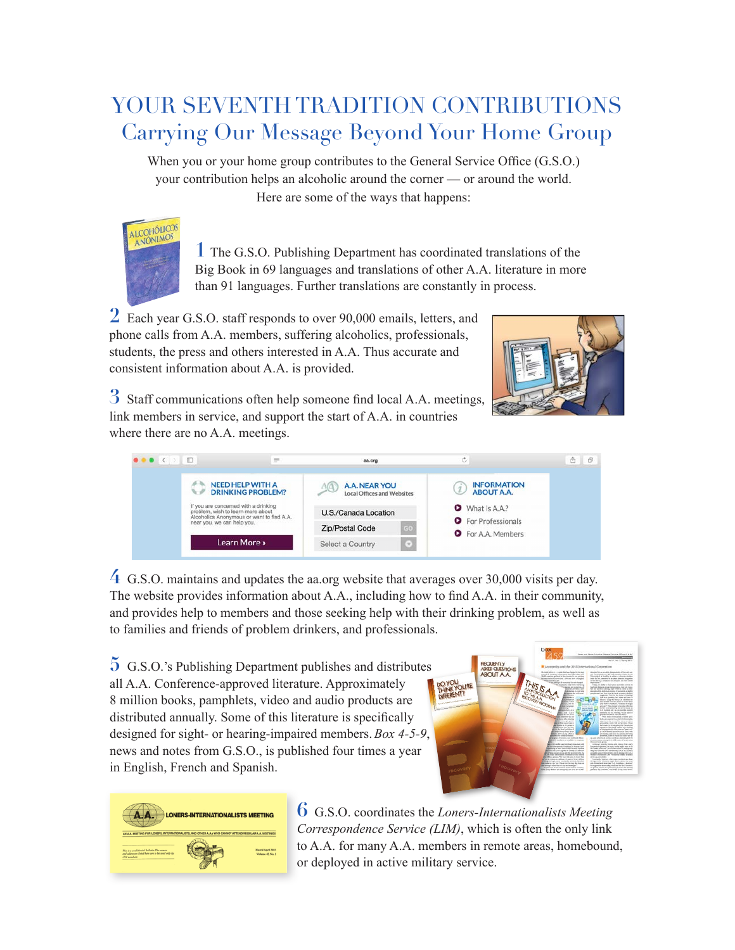## YOUR SEVENTH TRADITION CONTRIBUTIONS Carrying Our Message Beyond Your Home Group

When you or your home group contributes to the General Service Office (G.S.O.) your contribution helps an alcoholic around the corner — or around the world. Here are some of the ways that happens:



**1** The G.S.O. Publishing Department has coordinated translations of the Big Book in 69 languages and translations of other A.A. literature in more than 91 languages. Further translations are constantly in process.

2 Each year G.S.O. staff responds to over 90,000 emails, letters, and phone calls from A.A. members, suffering alcoholics, professionals, students, the press and others interested in A.A. Thus accurate and consistent information about A.A. is provided.



**3** Staff communications often help someone find local A.A. meetings, link members in service, and support the start of A.A. in countries where there are no A.A. meetings.



**4** G.S.O. maintains and updates the aa.org website that averages over 30,000 visits per day. The website provides information about A.A., including how to find A.A. in their community, and provides help to members and those seeking help with their drinking problem, as well as to families and friends of problem drinkers, and professionals.

**5** G.S.O.'s Publishing Department publishes and distributes all A.A. Conference-approved literature. Approximately 8 million books, pamphlets, video and audio products are distributed annually. Some of this literature is specifically designed for sight- or hearing-impaired members. *Box 4-5-9*, news and notes from G.S.O., is published four times a year in English, French and Spanish.





**6** G.S.O. coordinates the *Loners-Internationalists Meeting Correspondence Service (LIM)*, which is often the only link to A.A. for many A.A. members in remote areas, homebound, or deployed in active military service.